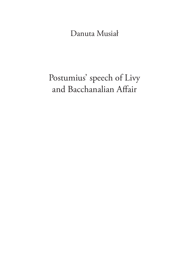Danuta Musiał

# Postumius' speech of Livy and Bacchanalian Affair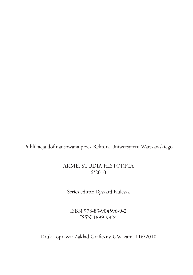Publikacja dofinansowana przez Rektora Uniwersytetu Warszawskiego

#### Akme. Studia historica 6/2010

Series editor: Ryszard Kulesza

ISBN 978-83-904596-9-2 ISSN 1899-9824

Druk i oprawa: Zakład Graficzny UW, zam. 116/2010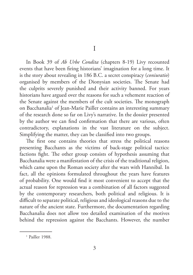I

In Book 39 of *Ab Urbe Condita* (chapters 8-19) Livy recounted events that have been firing historians' imagination for a long time. It is the story about revealing in 186 B.C. a secret conspiracy (*coniuratio*) organised by members of the Dionysian societies. The Senate had the culprits severely punished and their activity banned. For years historians have argued over the reasons for such a vehement reaction of the Senate against the members of the cult societies. The monograph on Bacchanalia<sup>1</sup> of Jean-Marie Pailler contains an interesting summary of the research done so far on Livy's narrative. In the dossier presented by the author we can find confirmation that there are various, often contradictory, explanations in the vast literature on the subject. Simplifying the matter, they can be classified into two groups.

The first one contains theories that stress the political reasons presenting Bacchants as the victims of back-stage political tactics: factions fight. The other group consists of hypothesis assuming that Bacchanalia were a manifestation of the crisis of the traditional religion, which came upon the Roman society after the wars with Hannibal. In fact, all the opinions formulated throughout the years have features of probability. One would find it most convenient to accept that the actual reason for repression was a combination of all factors suggested by the contemporary researchers, both political and religious. It is difficult to separate political, religious and ideological reasons due to the nature of the ancient state. Furthermore, the documentation regarding Bacchanalia does not allow too detailed examination of the motives behind the repression against the Bacchants. However, the number

<sup>&</sup>lt;sup>1</sup> Pailler 1988.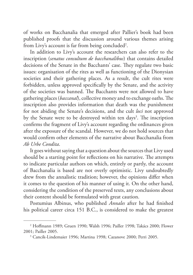of works on Bacchanalia that emerged after Pallier's book had been published proofs that the discussion around various themes arising from Livy's account is far from being concluded<sup>2</sup>.

In addition to Livy's account the researchers can also refer to the inscription (*senatus consultum de bacchanalibus*) that contains detailed decisions of the Senate in the Bacchants' case. They regulate two basic issues: organisation of the rites as well as functioning of the Dionysian societies and their gathering places. As a result, the cult rites were forbidden, unless approved specifically by the Senate, and the activity of the societies was banned. The Bacchants were not allowed to have gathering places (*baccanal*), collective money and to exchange oaths. The inscription also provides information that death was the punishment for not abiding the Senate's decisions, and the cult *loci* not approved by the Senate were to be destroyed within ten days<sup>3</sup>. The inscription confirms the fragment of Livy's account regarding the ordinances given after the exposure of the scandal. However, we do not hold sources that would confirm other elements of the narrative about Bacchanalia from *Ab Urbe Condita*.

It goes without saying that a question about the sources that Livy used should be a starting point for reflections on his narrative. The attempts to indicate particular authors on which, entirely or partly, the account of Bacchanalia is based are not overly optimistic. Livy undoubtedly drew from the annalistic tradition; however, the opinions differ when it comes to the question of his manner of using it. On the other hand, considering the condition of the preserved texts, any conclusions about their content should be formulated with great caution.

Postumius Albinus, who published *Annales* after he had finished his political career circa 151 B.C., is considered to make the greatest

<sup>2</sup> Hoffmann 1989; Gruen 1990; Walsh 1996; Pailler 1998; Takács 2000; Flower 2001; Pailler 2005.

<sup>3</sup> Cancik-Lindemaier 1996; Martina 1998; Cazanove 2000; Perri 2005.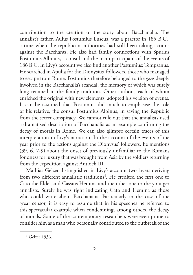contribution to the creation of the story about Bacchanalia. The annalist's father, Aulus Postumius Luscus, was a praetor in 185 B.C., a time when the republican authorities had still been taking actions against the Bacchants. He also had family connections with Spurius Postumius Albinus, a consul and the main participant of the events of 186 B.C. In Livy's account we also find another Postumius: Tempsanus. He searched in Apulia for the Dionysius' followers, those who managed to escape from Rome. Postumius therefore belonged to the *gens* deeply involved in the Bacchanalia's scandal, the memory of which was surely long retained in the family tradition. Other authors, each of whom enriched the original with new elements, adopted his version of events. It can be assumed that Postumius did much to emphasise the role of his relative, the consul Postumius Albinus, in saving the Republic from the secret conspiracy. We cannot rule out that the annalists used a dramatised description of Bacchanalia as an example confirming the decay of morals in Rome. We can also glimpse certain traces of this interpretation in Livy's narration. In the account of the events of the year prior to the actions against the Dionysus' followers, he mentions (39, 6, 7-9) about the onset of previously unfamiliar to the Romans fondness for luxury that was brought from Asia by the soldiers returning from the expedition against Antioch III.

Mathias Gelzer distinguished in Livy's account two layers deriving from two different annalistic traditions<sup>4</sup>. He credited the first one to Cato the Elder and Cassius Hemina and the other one to the younger annalists. Surely he was right indicating Cato and Hemina as those who could write about Bacchanalia. Particularly in the case of the great censor, it is easy to assume that in his speeches he referred to this spectacular example when condemning, among others, the decay of morals. Some of the contemporary researchers were even prone to consider him as a man who personally contributed to the outbreak of the

<sup>4</sup> Gelzer 1936.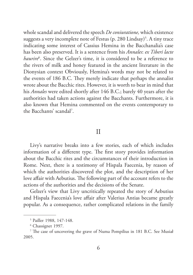whole scandal and delivered the speech *De coniuratione,* which existence suggests a very incomplete note of Festus (p. 280 Lindsay)<sup>5</sup>. A tiny trace indicating some interest of Cassius Hemina in the Bacchanalia's case has been also preserved. It is a sentence from his *Annales*: *ex Tiberi lacte haurire*<sup>6</sup> . Since the Gelzer's time, it is considered to be a reference to the rivers of milk and honey featured in the ancient literature in the Dionysian context Obviously, Hemina's words may not be related to the events of 186 B.C. They merely indicate that perhaps the annalist wrote about the Bacchic rites. However, it is worth to bear in mind that his *Annales* were edited shortly after 146 B.C.; barely 40 years after the authorities had taken actions against the Bacchants. Furthermore, it is also known that Hemina commented on the events contemporary to the Bacchants' scandal<sup>7</sup>.

### II

Livy's narrative breaks into a few stories, each of which includes information of a different type. The first story provides information about the Bacchic rites and the circumstances of their introduction in Rome. Next, there is a testimony of Hispala Faecenia, by reason of which the authorities discovered the plot, and the description of her love affair with Aebutius. The following part of the account refers to the actions of the authorities and the decisions of the Senate.

Gelzer's view that Livy uncritically repeated the story of Aebutius and Hispala Faecenia's love affair after Valerius Antias became greatly popular. As a consequence, rather complicated relations in the family

<sup>5</sup> Pailler 1988, 147-148.

<sup>6</sup> Chassignet 1997.

<sup>7</sup> The case of uncovering the grave of Numa Pompilius in 181 B.C. See Musiał 2005.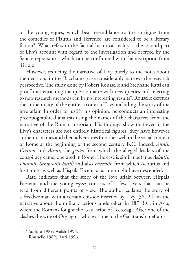of the young eques, which bear resemblance to the intrigues from the comedies of Plautus and Terrence, are considered to be a literary fiction<sup>8</sup>. What refers to the factual historical reality is the second part of Livy's account with regard to the investigation and decreed by the Senate repression – which can be confronted with the inscription from Tiriolo.

However, reducing the narrative of Livy purely to the notes about the decisions in the Bacchants' case considerably narrows the research perspective. The study done by Robert Rousselle and Stephane Ratti can proof that enriching the questionnaire with new queries and referring to new research methods can bring interesting results<sup>9</sup>. Rouselle defends the authenticity of the entire account of Livy including the story of the love affair. In order to justify his opinion, he conducts an interesting prosopographical analysis using the names of the characters from the narrative of the Roman historian. His findings show that even if the Livy's characters are not entirely historical figures, they have however authentic names and their adventures fit rather well in the social context of Rome at the beginning of the second century B.C. Indeed, *Annii, Cerinni* and *Atinii*, the *gentes* from which the alleged leaders of the conspiracy came, operated in Rome. The case is similar as far as *Aebutii*, *Duronii*, *Sempronii Rutili* and also *Faecenii*, from which Aebutius and his family as well as Hispala Facenia's patron might have descended.

Ratti indicates that the story of the love affair between Hispala Faecenia and the young *eques* consists of a few layers that can be read from different points of view. The author collates the story of a freedwoman with a certain episode inserted by Livy (38, 24) in the narrative about the military actions undertaken in 187 B.C. in Asia, where the Romans fought the Gaul tribe of Tectosagi. After one of the clashes the wife of Orgiago – who was one of the Galatians' chieftains –

<sup>8</sup> Scafuro 1989; Walsh 1996.

<sup>9</sup> Rousselle 1989; Ratti 1996.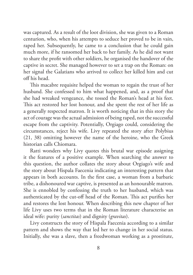was captured. As a result of the loot division, she was given to a Roman centurion, who, when his attempts to seduce her proved to be in vain, raped her. Subsequently, he came to a conclusion that he could gain much more, if he ransomed her back to her family. As he did not want to share the profit with other soldiers, he organised the handover of the captive in secret. She managed however to set a trap on the Roman: on her signal the Galatians who arrived to collect her killed him and cut off his head.

This macabre requisite helped the woman to regain the trust of her husband. She confessed to him what happened, and, as a proof that she had wreaked vengeance, she tossed the Roman's head at his feet. This act restored her lost honour, and she spent the rest of her life as a generally respected matron. It is worth noticing that in this story the act of courage was the actual admission of being raped, not the successful escape from the captivity. Potentially, Orgiago could, considering the circumstances, reject his wife. Livy repeated the story after Polybius (21, 38) omitting however the name of the heroine, who the Greek historian calls Chiomara.

Ratti wonders why Livy quotes this brutal war episode assigning it the features of a positive example. When searching the answer to this question, the author collates the story about Orgiago's wife and the story about Hispala Faecenia indicating an interesting pattern that appears in both accounts. In the first case, a woman from a barbaric tribe, a dishonoured war captive, is presented as an honourable matron. She is ennobled by confessing the truth to her husband, which was authenticated by the cut-off head of the Roman. This act purifies her and restores the lost honour. When describing this new chapter of her life Livy uses two terms that in the Roman literature characterise an ideal wife: purity (*sanctitas*) and dignity (*gravitas*).

Livy constructs the story of Hispala Faecenia according to a similar pattern and shows the way that led her to change in her social status. Initially, she was a slave, then a freedwoman working as a prostitute,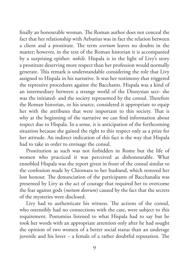finally an honourable woman. The Roman author does not conceal the fact that her relationship with Aebutius was in fact the relation between a client and a prostitute. The term *scortum* leaves no doubts in the matter; however, in the text of the Roman historian it is accompanied by a surprising epithet: *nobile*. Hispala is in the light of Livy's story a prostitute deserving more respect than her profession would normally generate. This remark is understandable considering the role that Livy assigned to Hispala in his narrative. It was her testimony that triggered the repressive procedures against the Bacchants. Hispala was a kind of an intermediary between a strange world of the Dionysian sect- she was the initiated- and the society represented by the consul. Therefore the Roman historian, or his source, considered it appropriate to equip her with the attributes that were important to this society. That is why at the beginning of the narrative we can find information about respect due to Hispala. In a sense, it is anticipation of the forthcoming situation because she gained the right to this respect only as a prize for her attitude. An indirect indication of this fact is the way that Hispala had to take in order to envisage the consul.

Prostitution as such was not forbidden in Rome but the life of women who practiced it was perceived as dishonourable. What ennobled Hispala was the report given in front of the consul similar to the confession made by Chiomara to her husband, which restored her lost honour. The denunciation of the participants of Bacchanalia was presented by Livy as the act of courage that required her to overcome the fear against gods (*metum deorum*) caused by the fact that the secrets of the mysteries were disclosed.

Livy had to authenticate his witness. The actions of the consul, who ostensibly had no connections with the case, were subject to this requirement. Postumius listened to what Hispala had to say but he took her words with an appropriate attention only after he had sought the opinion of two women of a better social status than an underage juvenile and his lover – a female of a rather doubtful reputation. The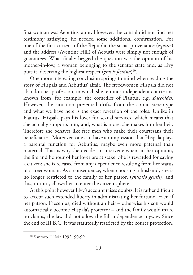first woman was Aebutius' aunt. However, the consul did not find her testimony satisfying, he needed some additional confirmation. For one of the first citizens of the Republic the social provenance (*equites*) and the address (Aventine Hill) of Aebutia were simply not enough of guarantees. What finally begged the question was the opinion of his mother-in-low, a woman belonging to the senator state and, as Livy puts it, deserving the highest respect (*gravis femina*) 10.

One more interesting conclusion springs to mind when reading the story of Hispala and Aebutius' affair. The freedwomen Hispala did not abandon her profession, in which she reminds independent courtesans known from, for example, the comedies of Plautus, e.g. *Bacchides*. However, the situation presented drifts from the comic stereotype and what we have here is the exact reversion of the roles. Unlike in Plautus, Hispala pays his lover for sexual services, which means that she actually supports him, and, what is more, she makes him her heir. Therefore she behaves like free men who make their courtesans their beneficiaries. Moreover, one can have an impression that Hispala plays a parental function for Aebutius, maybe even more paternal than maternal. That is why she decides to intervene when, in her opinion, the life and honour of her lover are at stake. She is rewarded for saving a citizen: she is released from any dependence resulting from her status of a freedwoman. As a consequence, when choosing a husband, she is no longer restricted to the family of her patron (*enuptio gentis*), and this, in turn, allows her to enter the citizen sphere.

At this point however Livy's account raises doubts. It is rather difficult to accept such extended liberty in administrating her fortune. Even if her patron, Faecenius, died without an heir – otherwise his son would automatically become Hispala's protector – and the family would make no claims, the law did not allow the full independence anyway. Since the end of III B.C. it was statutorily restricted by the court's protection,

<sup>10</sup> Santoro L'Hoir 1992: 90-99.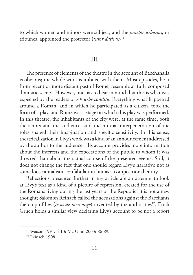to which women and minors were subject, and the *praetor urbanus*, or tribunes, appointed the protector (*tutor dativus)*11.

#### III

The presence of elements of the theatre in the account of Bacchanalia is obvious; the whole work is imbued with them. Most episodes, be it from recent or more distant past of Rome, resemble artfully composed dramatic scenes. However, one has to bear in mind that this is what was expected by the readers of *Ab urbe condita*. Everything what happened around a Roman, and in which he participated as a citizen, took the form of a play, and Rome was a stage on which this play was performed. In this theatre, the inhabitants of the city were, at the same time, both the actors and the audience, and the mutual interpenetration of the roles shaped their imagination and specific sensitivity. In this sense, theatricalization in Livy's work was a kind of an announcement addressed by the author to the audience. His account provides more information about the interests and the expectations of the public to whom it was directed than about the actual course of the presented events. Still, it does not change the fact that one should regard Livy's narrative not as some loose annalistic confabulation but as a compositional entity.

Reflections presented further in my article are an attempt to look at Livy's text as a kind of a picture of repression, created for the use of the Romans living during the last years of the Republic. It is not a new thought; Salomon Reinach called the accusations against the Bacchants the crop of lies (*tissu de mensonge*) invented by the authorities<sup>12</sup>. Erich Gruen holds a similar view declaring Livy's account to be not a report

<sup>11</sup> Watson 1991, 4-13; Mc Ginn 2003: 86-89.

<sup>&</sup>lt;sup>12</sup> Reinach 1908.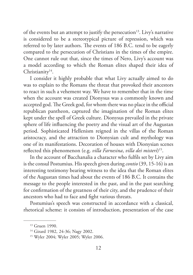of the events but an attempt to justify the persecution<sup>13</sup>. Livy's narrative is considered to be a stereotypical picture of repression, which was referred to by later authors. The events of 186 B.C. tend to be eagerly compared to the persecution of Christians in the times of the empire. One cannot rule out that, since the times of Nero, Livy's account was a model according to which the Roman elites shaped their idea of Christianity<sup>14</sup>.

I consider it highly probable that what Livy actually aimed to do was to explain to the Romans the threat that provoked their ancestors to react in such a vehement way. We have to remember that in the time when the account was created Dionysus was a commonly known and accepted god. The Greek god, for whom there was no place in the official republican pantheon, captured the imagination of the Roman elites kept under the spell of Greek culture. Dionysus prevailed in the private sphere of life influencing the poetry and the visual art of the Augustan period. Sophisticated Hellenism reigned in the villas of the Roman aristocracy, and the attraction to Dionysian cult and mythology was one of its manifestations. Decoration of houses with Dionysian scenes reflected this phenomenon (e.g. *villa Farnesina*, *villa dei misteri*) 15.

In the account of Bacchanalia a character who fulfils set by Livy aim is the consul Postumius. His speech given during *contio* (39, 15-16) is an interesting testimony bearing witness to the idea that the Roman elites of the Augustan times had about the events of 186 B.C. It contains the message to the people interested in the past, and in the past searching for confirmation of the greatness of their city, and the prudence of their ancestors who had to face and fight various threats.

Postumius's speech was constructed in accordance with a classical, rhetorical scheme: it consists of introduction, presentation of the case

<sup>13</sup> Gruen 1990.

<sup>&</sup>lt;sup>14</sup> Girard 1982, 24-36; Nagy 2002.

<sup>15</sup> Wyler 2004; Wyler 2005; Wyler 2006.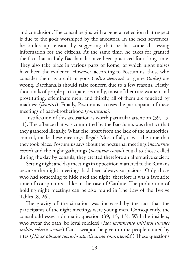and conclusion. The consul begins with a general reflection that respect is due to the gods worshiped by the ancestors. In the next sentences, he builds up tension by suggesting that he has some distressing information for the citizens. At the same time, he takes for granted the fact that in Italy Bacchanalia have been practiced for a long time. They also take place in various parts of Rome, of which night noises have been the evidence. However, according to Postumius, those who consider them as a cult of gods (*cultus deorum*) or game (*ludus*) are wrong. Bacchanalia should raise concern due to a few reasons. Firstly, thousands of people participate; secondly, most of them are women and prostituting, effeminate men, and thirdly, all of them are touched by madness (*fanatici*). Finally, Postumius accuses the participants of these meetings of oath-brotherhood (*coniuratio)*.

Justification of this accusation is worth particular attention (39, 15, 11). The offence that was committed by the Bacchants was the fact that they gathered illegally. What else, apart from the lack of the authorities' control, made these meetings illegal? Most of all, it was the time that they took place. Postumius says about the nocturnal meetings (*nocturnus coetus*) and the night gatherings (*nocturna contio*) equal to those called during the day by consuls, they created therefore an alternative society.

Setting night and day meetings in opposition mattered to the Romans because the night meetings had been always suspicious. Only those who had something to hide used the night, therefore it was a favourite time of conspirators – like in the case of Catiline. The prohibition of holding night meetings can be also found in The Law of the Twelve Tables (8, 26).

The gravity of the situation was increased by the fact that the participants of the night meetings were young men. Consequently, the consul addresses a dramatic question (39, 15, 13): Will the insiders, who swear the oath, be loyal soldiers? (*Hoc sacramento initiatos iuvenes milites eductis arma*?) Can a weapon be given to the people tainted by rites (*His ex obscene sacrario eductis arma connittenda*)? These questions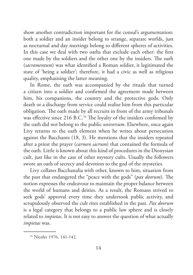show another contradiction important for the consul's argumentation: both a soldier and an insider belong to strange, separate worlds, just as nocturnal and day meetings belong to different spheres of activities. In this case we deal with two oaths that exclude each other: the first one made by the soldiers and the other one by the insiders. The oath (*sacramentum*) was what identified a Roman soldier, it legitimated the state of 'being a soldier'; therefore, it had a civic as well as religious quality, emphasising the latter meaning.

In Rome, the oath was accompanied by the rituals that turned a citizen into a soldier and confirmed the agreement made between him, his companions, the country and the protective gods. Only death or a discharge from service could realise him from this particular obligation. The oath made by all recruits in front of the army tribunals was effective since 216 B.C. 16 The loyalty of the insiders confirmed by the oath did not belong to the public *universum*. Elsewhere, once again Livy returns to the oath element when he writes about persecution against the Bacchants (18, 3). He mentions that the insiders repeated after a priest the prayer (*carmen sacrum*) that contained the formula of the oath. Little is known about this kind of procedures in the Dionysian cult, just like in the case of other mystery cults. Usually the followers swore an oath of secrecy and devotion to the god of the mysteries.

Livy collates Bacchanalia with other, known to him, situation from the past that endangered the "peace with the gods'' (*pax deorum*). The notion expresses the endeavour to maintain the proper balance between the world of humans and deities. As a result, the Romans strived to seek gods' approval every time they undertook public activity, and scrupulously observed the cult rites established in the past. *Pax deorum*  is a legal category that belongs to a public law sphere and is closely related to *impietas*. It is not easy to answer the question of what actually *impietas* was.

<sup>16</sup> Nicolet 1976, 141-142.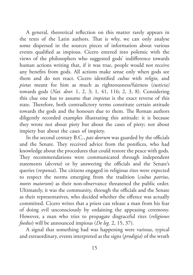A general, theoretical reflection on this matter rarely appears in the texts of the Latin authors. That is why, we can only analyse some dispersed in the sources pieces of information about various events qualified as impious. Cicero entered into polemic with the views of the philosophers who suggested gods' indifference towards human actions writing that, if it was true, people would not receive any benefits from gods. All actions make sense only when gods see them and do not react. Cicero identified *cultus* with *religio*, and *pietas* meant for him as much as righteousness/fairness (*iusticia)*  towards gods (*Nat. deor.* 1, 2, 3; 1, 41, 116; 2, 3, 8). Considering this clue one has to assume that *impietas* is the exact reverse of this state. Therefore, both contradictory terms constitute certain attitude towards the gods and the honours due to them. The Roman authors diligently recorded examples illustrating this attitude: it is because they wrote not about piety but about the cases of piety; not about impiety but about the cases of impiety.

In the second century B.C., *pax deorum* was guarded by the officials and the Senate. They received advice from the ponifices, who had knowledge about the procedures that could restore the peace with gods. They recommendations were communicated through independent statements (*decreta*) or by answering the officials and the Senate's queries (*responsa*). The citizens engaged in religious rites were expected to respect the norms emerging from the tradition (*cultus patrius*, *mores maiorum*) as their non-observance threatened the public order. Ultimately, it was the community, through the officials and the Senate as their representatives, who decided whether the offence was actually committed. Cicero writes that a priest can release a man from his fear of doing evil unconsciously by ordaining the appeasing ceremony. However, a man who tries to propagate disgraceful rites (*religiones foedus*) will be announced impious (*De leg.* 2, 15, 37).

A signal that something bad was happening were various, typical and extraordinary, events interpreted as the signs (*prodigia*) of the wrath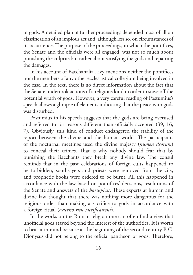of gods. A detailed plan of further proceedings depended most of all on classification of an impious act and, although less so, on circumstances of its occurrence. The purpose of the proceedings, in which the pontifices, the Senate and the officials were all engaged, was not so much about punishing the culprits but rather about satisfying the gods and repairing the damages.

In his account of Bacchanalia Livy mentions neither the pontifices nor the members of any other ecclesiastical collegium being involved in the case. In the text, there is no direct information about the fact that the Senate undertook actions of a religious kind in order to stave off the potential wrath of gods. However, a very careful reading of Postumius's speech allows a glimpse of elements indicating that the peace with gods was disturbed.

Postumius in his speech suggests that the gods are being overused and referred to for reasons different than officially accepted (39, 16, 7). Obviously, this kind of conduct endangered the stability of the report between the divine and the human world. The participants of the nocturnal meetings used the divine majesty (*numen deorum*) to conceal their crimes. That is why nobody should fear that by punishing the Bacchants they break any divine law. The consul reminds that in the past celebrations of foreign cults happened to be forbidden, soothsayers and priests were removed from the city, and prophetic books were ordered to be burnt. All this happened in accordance with the law based on pontifices' decisions, resolutions of the Senate and answers of the *haruspices*. These experts at human and divine law thought that there was nothing more dangerous for the religious order than making a sacrifice to gods in accordance with a foreign ritual (*externo ritu sacrificaretur*).

In the works on the Roman religion one can often find a view that unofficial gods stayed beyond the interest of the authorities. It is worth to bear it in mind because at the beginning of the second century B.C. Dionysus did not belong to the official pantheon of gods. Therefore,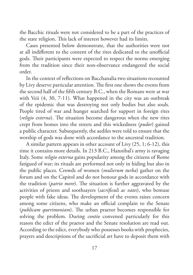the Bacchic rituals were not considered to be a part of the practices of the state religion. This lack of interest however had its limits.

Cases presented below demonstrate, that the authorities were not at all indifferent to the content of the rites dedicated to the unofficial gods. Their participants were expected to respect the norms emerging from the tradition since their non-observance endangered the social order.

In the context of reflections on Bacchanalia two situations recounted by Livy deserve particular attention. The first one shows the events from the second half of the fifth century B.C., when the Romans were at war with Veii (4, 30, 7-11). What happened in the city was an outbreak of the epidemic that was destroying not only bodies but also souls. People tired of war and hunger searched for support in foreign rites (*religio externa*). The situation become dangerous when the new rites crept from homes into the streets and this wickedness (*pudor*) gained a public character. Subsequently, the aediles were told to ensure that the worship of gods was done with accordance to the ancestral tradition.

A similar pattern appears in other account of Livy (25, 1; 6-12), this time it contains more details. In 213 B.C., Hannibal's army is ravaging Italy. Some *religio externa* gains popularity among the citizens of Rome fatigued of war; its rituals are performed not only in hiding but also in the public places. Crowds of women (*mulierum turba*) gather on the forum and on the Capitol and do not honour gods in accordance with the tradition (*patrio more*). The situation is further aggravated by the activities of priests and soothsayers (*sacrificuli ac vates*), who bemuse people with fake ideas. The development of the events raises concern among some citizens, who make an official complain to the Senate (*publicam querimoniam*). The urban praetor becomes responsible for solving the problem. During *contio* convened particularly for this reason the edict of the praetor and the Senate resolution are read out. According to the edict, everybody who possesses books with prophecies, prayers and descriptions of the sacrificial art have to deposit them with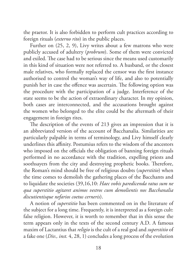the praetor. It is also forbidden to perform cult practices according to foreign rituals (*externo rito*) in the public places.

Further on (25, 2, 9), Livy writes about a few matrons who were publicly accused of adultery (*probrum*). Some of them were convicted and exiled. The case had to be serious since the means used customarily in this kind of situation were not referred to. A husband, or the closest male relatives, who formally replaced the censor was the first instance authorised to control the woman's way of life, and also to potentially punish her in case the offence was ascertain. The following option was the procedure with the participation of a judge. Interference of the state seems to be the action of extraordinary character. In my opinion, both cases are interconnected, and the accusations brought against the women who belonged to the elite could be the aftermath of their engagement in foreign rites.

The description of the events of 213 gives an impression that it is an abbreviated version of the account of Bacchanalia. Similarities are particularly palpable in terms of terminology, and Livy himself clearly underlines this affinity. Postumius refers to the wisdom of the ancestors who imposed on the officials the obligation of banning foreign rituals performed in no accordance with the tradition, expelling priests and soothsayers from the city and destroying prophetic books. Therefore, the Roman's mind should be free of religious doubts (*superstitio*) when the time comes to demolish the gathering places of the Bacchants and to liquidate the societies (39,16,10: *Haec vobis paredicenda ratus sum ne qua superstitio agitaret animos vestros cum demolientis nos Bacchanalia discutientisque nefarios coetus cerneris*).

A notion of *superstitio* has been commented on in the literature of the subject for a long time. Frequently, it is interpreted as a foreign cult: false religion. However, it is worth to remember that in this sense the term appears only in the texts of the second century A.D. A famous maxim of Lactantius that *religio* is the cult of a real god and *superstitio* of a fake one (*Div., inst.* 4, 28, 1) concludes a long process of the evolution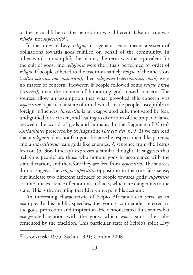of the term. Hitherto, the perception was different: false or true was *religio*, not *superstitio*17.

In the times of Livy, *religio*, in a general sense, meant a system of obligations towards gods fulfilled on behalf of the community. In other words, to simplify the matter, the term was the equivalent for the cult of gods, and *religiones* were the rituals performed by order of *religio*. If people adhered to the tradition namely *religio* of the ancestors (*cultus patrius, mos maiorum*), then *religiones* (*caerimoniae, sacra*) were no matter of concern. However, if people followed some *religio prava (externa)*, then the manner of honouring gods raised concern. The sources allow an assumption that what provoked this concern was *superstitio*: a particular state of mind which made people susceptible to foreign influences. *Superstito* is an exaggerated cult, motivated by fear, undignified for a citizen, and leading to distortion of the proper balance between the world of gods and humans. In the fragment of Varro's *Antiquitates* preserved by St Augustine (*De civ. dei*, 6, 9, 2) we can read that a *religiosus* does not fear gods because he respects them like parents, and a *superstitiosus* fears gods like enemies. A sentence from the Festus lexicon (p. 366 Lindsay) expresses a similar thought. It suggests that 'religious people' are those who honour gods in accordance with the state dictation, and therefore they are free from *superstitio*. The sources do not suggest the *religio-superstitio* opposition in the true-false sense, but indicate two different attitudes of people towards gods; *superstitio* assumes the existence of emotions and acts, which are dangerous to the state. This is the meaning that Livy conveys in his account.

An interesting characteristic of Scipio Africanus can serve as an example. In his public speeches, the young commander referred to the gods' protection and inspiration. He demonstrated thus somewhat exaggerated relation with the gods, which was against the rules cemented by the tradition. This particular state of Scipio's spirit Livy

<sup>17</sup> Grodzynski 1975; Sachot 1991; Gordon 2008.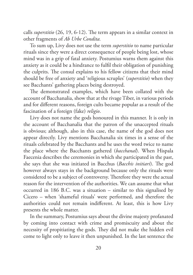calls *superstitio* (26, 19, 6-12). The term appears in a similar context in other fragments of *Ab Urbe Condita.*

To sum up, Livy does not use the term *superstitio* to name particular rituals since they were a direct consequence of people being lost, whose mind was in a grip of fatal anxiety. Postumius warns them against this anxiety as it could be a hindrance to fulfil their obligation of punishing the culprits. The consul explains to his fellow citizens that their mind should be free of anxiety and 'religious scruples' (*superstitio*) when they see Bacchants' gathering places being destroyed.

The demonstrated examples, which have been collated with the account of Bacchanalia, show that at the rivage Tiber, in various periods and for different reasons, foreign cults became popular as a result of the fascination of a foreign (fake) *religio*.

Livy does not name the gods honoured in this manner. It is only in the account of Bacchanalia that the patron of the unaccepted rituals is obvious; although, also in this case, the name of the god does not appear directly. Livy mentions Bacchanalia six times in a sense of the rituals celebrated by the Bacchants and he uses the word twice to name the place where the Bacchants gathered (*bacchanal*). When Hispala Faecenia describes the ceremonies in which she participated in the past, she says that she was initiated in Bacchus (*Bacchis initiari*). The god however always stays in the background because only the rituals were considered to be a subject of controversy. Therefore they were the actual reason for the intervention of the authorities. We can assume that what occurred in 186 B.C. was a situation – similar to this signalised by Cicero – when 'shameful rituals' were performed, and therefore the authorities could not remain indifferent. At least, this is how Livy presents the whole matter.

In the summary, Postumius says about the divine majesty profanated by coming into contact with crime and promiscuity and about the necessity of propitiating the gods. They did not make the hidden evil come to light only to leave it then unpunished. In the last sentence the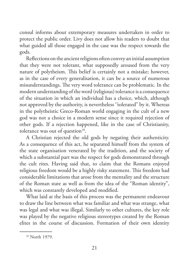consul informs about extemporary measures undertaken in order to protect the public order. Livy does not allow his readers to doubt that what guided all those engaged in the case was the respect towards the gods.

Reflections on the ancient religions often convey an initial assumption that they were not tolerant, what supposedly aroused from the very nature of polytheism. This belief is certainly not a mistake; however, as in the case of every generalisation, it can be a source of numerous misunderstandings. The very word tolerance can be problematic. In the modern understanding of the word (religious) tolerance is a consequence of the situation in which an individual has a choice, which, although not approved by the authority, is nevertheless ''tolerated'' by it. Whereas in the polytheistic Greco-Roman world engaging in the cult of a new god was not a choice in a modern sense since it required rejection of other gods. If a rejection happened, like in the case of Christianity, tolerance was out of question<sup>18</sup>.

A Christian rejected the old gods by negating their authenticity. As a consequence of this act, he separated himself from the system of the state organisation venerated by the tradition, and the society of which a substantial part was the respect for gods demonstrated through the cult rites. Having said that, to claim that the Romans enjoyed religious freedom would be a highly risky statement. This freedom had considerable limitations that arose from the mentality and the structure of the Roman state as well as from the idea of the "Roman identity", which was constantly developed and modified.

What laid at the basis of this process was the permanent endeavour to draw the line between what was familiar and what was strange, what was legal and what was illegal. Similarly to other cultures, the key role was played by the negative religious stereotypes created by the Roman elites in the course of discussion. Formation of their own identity

<sup>18</sup> North 1979.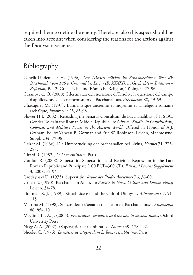required them to define the enemy. Therefore, also this aspect should be taken into account when considering the reasons for the actions against the Dionysian societies.

## Bibliography

- Cancik-Lindemaier H. (1996), *Der Diskurs religion im Senatsbeschlusse über die Bacchanalia von 186 v. Chr. und bei Livius (B. XXXIX)*, in *Geschichte – Tradition – Reflexion,* Bd. 2: Griechische und Römische Religion, Tübingen, 77-96.
- Cazanove de O. (2000), I destinatari dell'iscrizione dl Tiriolo e la questione del campo d'applicazione del senatoconsulto de Bacchanalibus, *Athenaeum* 88, 59-69.
- Chassignet M. (1997), L'annalistique ancienne et moyenne et la religion romaine archaïque, *Evphrosyne* 25, 85-98.
- Flower H.I. (2002), Rereading the Senatus Consultum de Bacchanalibus of 186 BC: Gender Roles in the Roman Middle Republic, in: *Oikistes. Studies in Constitutions, Colonies, and Military Power in the Ancient World.* Offered in Honor of A.J. Graham. Ed. by Vanessa B. Gorman and Eric W. Robinson. Leiden, Mnemosyne. Suppl. 234, 79-98.
- Gelzer M. (1936), Die Unterdruckung der Bacchanalien bei Livius, *Hermes* 71, 275- 287.
- Girard R. (1982), *Le bouc émissaire*, Paris.
- Gordon R. (2008), Superstitio, Superstition and Religious Repression in the Late Roman Republic and Principate (100 BCE–300 CE), *Past and Present Supplement* 3, 2008, 72-94.
- Grodzynski D. (1975), Superstitio, *Revue des Études Anciennes* 76, 36-60.
- Gruen E. (1990): Bacchanalian Affair, in: *Studies in Greek Culture and Roman Policy,*  Leiden, 34-78.
- Hoffman R. J. (1989), Ritual License and the Cult of Dionysos, *Athenaeum* 67, 91- 115.
- Martina M. (1998), Sul cosidetto «Senatusconsultum de Bacchanalibus», *Athenaeum*  86, 85-110.
- McGinn Th. A. J. (2003), *Prostitution, sexuality, and the law in ancient Rome*, Oxford University Press
- Nagy A. A. (2002), «Superstitio» et «coniuratio», *Numen* 49, 178-192.
- Nicolet C. (1976), *Le métier de citoyen dans la Rome républicaine,* Paris.